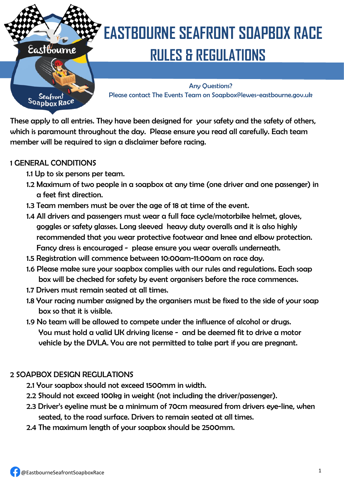

Seafront<br>Soapbox Race

# **EASTBOURNE SEAFRONT SOAPBOX RACE Eastbourne** RULES & REGULATIONS

Any Questions? Please contact The Events Team on Soapbox@lewes-eastbourne.gov.uk

These apply to all entries. They have been designed for your safety and the safety of others, which is paramount throughout the day. Please ensure you read all carefully. Each team member will be required to sign a disclaimer before racing.

#### 1 GENERAL CONDITIONS

- 1.1 Up to six persons per team.
- 1.2 Maximum of two people in a soapbox at any time (one driver and one passenger) in a feet first direction.
- 1.3 Team members must be over the age of 18 at time of the event.
- 1.4 All drivers and passengers must wear a full face cycle/motorbike helmet, gloves, goggles or safety glasses. Long sleeved heavy duty overalls and it is also highly recommended that you wear protective footwear and knee and elbow protection. Fancy dress is encouraged - please ensure you wear overalls underneath.
- 1.5 Registration will commence between 10:00am-11:00am on race day.
- 1.6 Please make sure your soapbox complies with our rules and regulations. Each soap box will be checked for safety by event organisers before the race commences.
- 1.7 Drivers must remain seated at all times.
- 1.8 Your racing number assigned by the organisers must be fixed to the side of your soap box so that it is visible.
- 1.9 No team will be allowed to compete under the influence of alcohol or drugs. You must hold a valid UK driving license - and be deemed fit to drive a motor vehicle by the DVLA. You are not permitted to take part if you are pregnant.

### 2 SOAPBOX DESIGN REGULATIONS

- 2.1 Your soapbox should not exceed 1500mm in width.
- 2.2 Should not exceed 100kg in weight (not including the driver/passenger).
- 2.3 Driver's eyeline must be a minimum of 70cm measured from drivers eye-line, when seated, to the road surface. Drivers to remain seated at all times.
- 2.4 The maximum length of your soapbox should be 2500mm.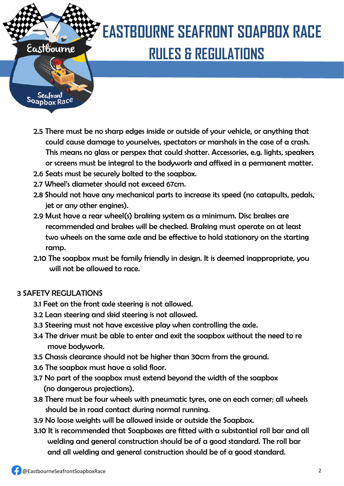

# **EASTBOURNE SEAFRONT SOAPBOX RACE Eastbourne** RULES & REGULATIONS

Seafront Soapbox Race

- 2.5 There must be no sharp edges inside or outside of your vehicle, or anything that could cause damage to yourselves, spectators or marshals in the case of a crash. This means no glass or perspex that could shatter. Accessories, e.g. lights, speakers or screens must be integral to the bodywork and affixed in a permanent matter.
- 2.6 Seats must be securely bolted to the soapbox.
- 2.7 Wheel's diameter should not exceed 67cm.
- 2.8 Should not have any mechanical parts to increase its speed (no catapults, pedals, jet or any other engines).
- 2.9 Must have a rear wheel(s) braking system as a minimum. Disc brakes are recommended and brakes will be checked. Braking must operate on at least two wheels on the same axle and be effective to hold stationary on the starting ramp.
- 2.10 The soapbox must be family friendly in design. It is deemed inappropriate, you will not be allowed to race.

### 3 SAFETY REGULATIONS

- 3.1 Feet on the front axle steering is not allowed.
- 3.2 Lean steering and skid steering is not allowed.
- 3.3 Steering must not have excessive play when controlling the axle.
- 3.4 The driver must be able to enter and exit the soapbox without the need to re move bodywork.
- 3.5 Chassis clearance should not be higher than 30cm from the ground.
- 3.6 The soapbox must have a solid floor.
- 3.7 No part of the soapbox must extend beyond the width of the soapbox (no dangerous projections).
- 3.8 There must be four wheels with pneumatic tyres, one on each corner; all wheels should be in road contact during normal running.
- 3.9 No loose weights will be allowed inside or outside the Soapbox.
- 3.10 It is recommended that Soapboxes are fitted with a substantial roll bar and all welding and general construction should be of a good standard. The roll bar and all welding and general construction should be of a good standard.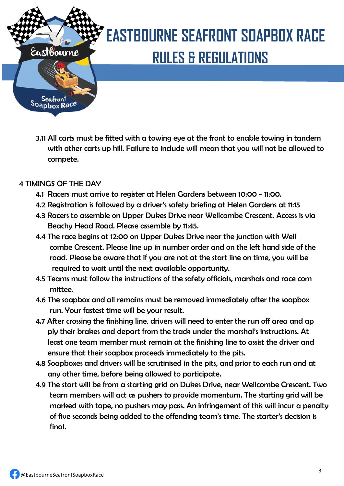

Seafront<br>Soapbox Race

# **EASTBOURNE SEAFRONT SOAPBOX RACE** Eastbourne RULES & REGULATIONS

3.11 All carts must be fitted with a towing eye at the front to enable towing in tandem with other carts up hill. Failure to include will mean that you will not be allowed to compete.

#### 4 TIMINGS OF THE DAY

- 4.1 Racers must arrive to register at Helen Gardens between 10:00 11:00.
- 4.2 Registration is followed by a driver's safety briefing at Helen Gardens at 11:15
- 4.3 Racers to assemble on Upper Dukes Drive near Wellcombe Crescent. Access is via Beachy Head Road. Please assemble by 11:45.
- 4.4 The race begins at 12:00 on Upper Dukes Drive near the junction with Well combe Crescent. Please line up in number order and on the left hand side of the road. Please be aware that if you are not at the start line on time, you will be required to wait until the next available opportunity.
- 4.5 Teams must follow the instructions of the safety officials, marshals and race com mittee.
- 4.6 The soapbox and all remains must be removed immediately after the soapbox run. Your fastest time will be your result.
- 4.7 After crossing the finishing line, drivers will need to enter the run off area and ap ply their brakes and depart from the track under the marshal's instructions. At least one team member must remain at the finishing line to assist the driver and ensure that their soapbox proceeds immediately to the pits.
- 4.8 Soapboxes and drivers will be scrutinised in the pits, and prior to each run and at any other time, before being allowed to participate.
- 4.9 The start will be from a starting grid on Dukes Drive, near Wellcombe Crescent. Two team members will act as pushers to provide momentum. The starting grid will be marked with tape, no pushers may pass. An infringement of this will incur a penalty of five seconds being added to the offending team's time. The starter's decision is final.